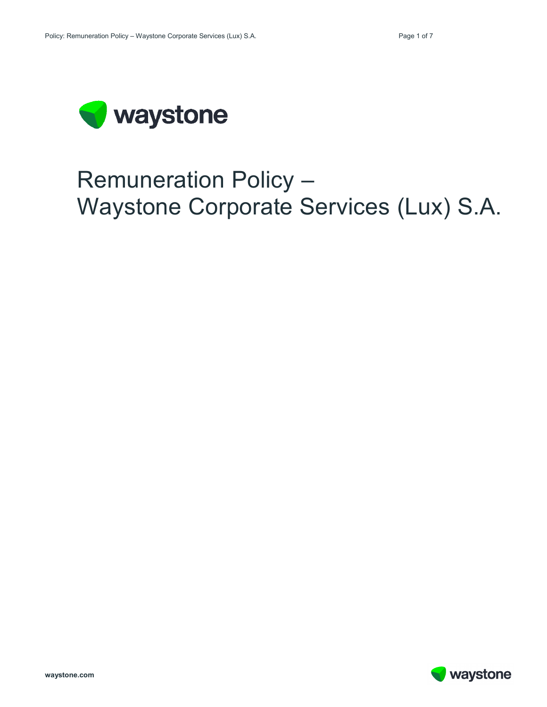

# Remuneration Policy – Waystone Corporate Services (Lux) S.A.

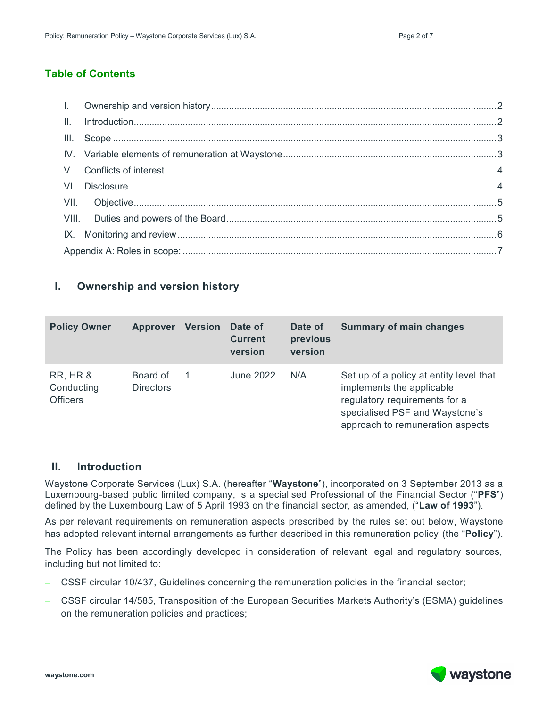## **Table of Contents**

## <span id="page-1-0"></span>**I. Ownership and version history**

| <b>Policy Owner</b>                                  | <b>Approver</b>              | <b>Version</b> | Date of<br><b>Current</b><br>version | Date of<br>previous<br>version | <b>Summary of main changes</b>                                                                                                                                              |
|------------------------------------------------------|------------------------------|----------------|--------------------------------------|--------------------------------|-----------------------------------------------------------------------------------------------------------------------------------------------------------------------------|
| <b>RR, HR &amp;</b><br>Conducting<br><b>Officers</b> | Board of<br><b>Directors</b> |                | June 2022                            | N/A                            | Set up of a policy at entity level that<br>implements the applicable<br>regulatory requirements for a<br>specialised PSF and Waystone's<br>approach to remuneration aspects |

### <span id="page-1-1"></span>**II. Introduction**

Waystone Corporate Services (Lux) S.A. (hereafter "**Waystone**"), incorporated on 3 September 2013 as a Luxembourg-based public limited company, is a specialised Professional of the Financial Sector ("**PFS**") defined by the Luxembourg Law of 5 April 1993 on the financial sector, as amended, ("**Law of 1993**").

As per relevant requirements on remuneration aspects prescribed by the rules set out below, Waystone has adopted relevant internal arrangements as further described in this remuneration policy (the "**Policy**").

The Policy has been accordingly developed in consideration of relevant legal and regulatory sources, including but not limited to:

- − CSSF circular 10/437, Guidelines concerning the remuneration policies in the financial sector;
- − CSSF circular 14/585, Transposition of the European Securities Markets Authority's (ESMA) guidelines on the remuneration policies and practices;

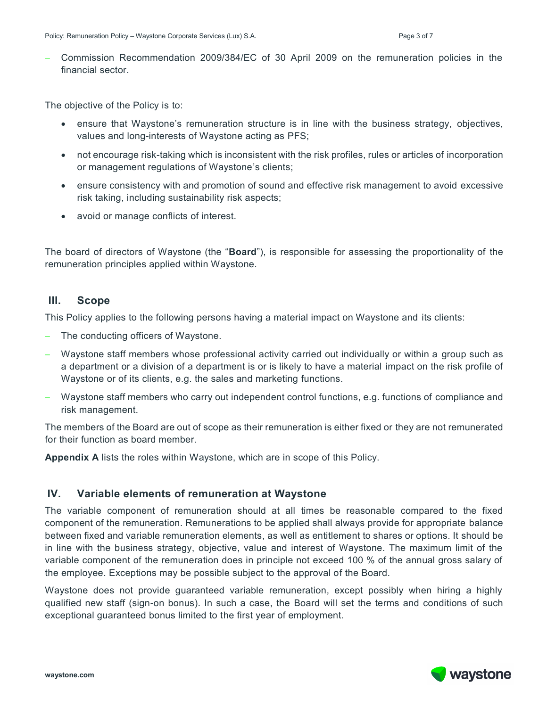− Commission Recommendation 2009/384/EC of 30 April 2009 on the remuneration policies in the financial sector.

The objective of the Policy is to:

- ensure that Waystone's remuneration structure is in line with the business strategy, objectives, values and long-interests of Waystone acting as PFS;
- not encourage risk-taking which is inconsistent with the risk profiles, rules or articles of incorporation or management regulations of Waystone's clients;
- ensure consistency with and promotion of sound and effective risk management to avoid excessive risk taking, including sustainability risk aspects;
- avoid or manage conflicts of interest.

The board of directors of Waystone (the "**Board**"), is responsible for assessing the proportionality of the remuneration principles applied within Waystone.

## <span id="page-2-0"></span>**III. Scope**

This Policy applies to the following persons having a material impact on Waystone and its clients:

- − The conducting officers of Waystone.
- − Waystone staff members whose professional activity carried out individually or within a group such as a department or a division of a department is or is likely to have a material impact on the risk profile of Waystone or of its clients, e.g. the sales and marketing functions.
- − Waystone staff members who carry out independent control functions, e.g. functions of compliance and risk management.

The members of the Board are out of scope as their remuneration is either fixed or they are not remunerated for their function as board member.

**Appendix A** lists the roles within Waystone, which are in scope of this Policy.

## <span id="page-2-1"></span>**IV. Variable elements of remuneration at Waystone**

The variable component of remuneration should at all times be reasonable compared to the fixed component of the remuneration. Remunerations to be applied shall always provide for appropriate balance between fixed and variable remuneration elements, as well as entitlement to shares or options. It should be in line with the business strategy, objective, value and interest of Waystone. The maximum limit of the variable component of the remuneration does in principle not exceed 100 % of the annual gross salary of the employee. Exceptions may be possible subject to the approval of the Board.

Waystone does not provide guaranteed variable remuneration, except possibly when hiring a highly qualified new staff (sign-on bonus). In such a case, the Board will set the terms and conditions of such exceptional guaranteed bonus limited to the first year of employment.

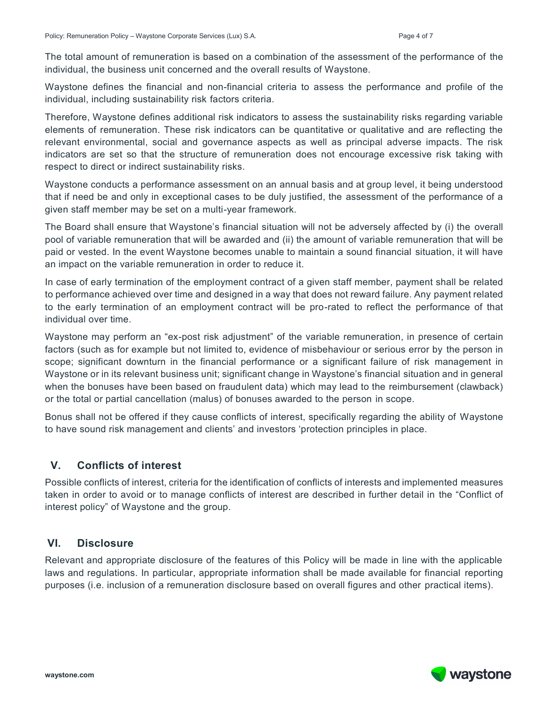The total amount of remuneration is based on a combination of the assessment of the performance of the individual, the business unit concerned and the overall results of Waystone.

Waystone defines the financial and non-financial criteria to assess the performance and profile of the individual, including sustainability risk factors criteria.

Therefore, Waystone defines additional risk indicators to assess the sustainability risks regarding variable elements of remuneration. These risk indicators can be quantitative or qualitative and are reflecting the relevant environmental, social and governance aspects as well as principal adverse impacts. The risk indicators are set so that the structure of remuneration does not encourage excessive risk taking with respect to direct or indirect sustainability risks.

Waystone conducts a performance assessment on an annual basis and at group level, it being understood that if need be and only in exceptional cases to be duly justified, the assessment of the performance of a given staff member may be set on a multi-year framework.

The Board shall ensure that Waystone's financial situation will not be adversely affected by (i) the overall pool of variable remuneration that will be awarded and (ii) the amount of variable remuneration that will be paid or vested. In the event Waystone becomes unable to maintain a sound financial situation, it will have an impact on the variable remuneration in order to reduce it.

In case of early termination of the employment contract of a given staff member, payment shall be related to performance achieved over time and designed in a way that does not reward failure. Any payment related to the early termination of an employment contract will be pro-rated to reflect the performance of that individual over time.

Waystone may perform an "ex-post risk adjustment" of the variable remuneration, in presence of certain factors (such as for example but not limited to, evidence of misbehaviour or serious error by the person in scope; significant downturn in the financial performance or a significant failure of risk management in Waystone or in its relevant business unit; significant change in Waystone's financial situation and in general when the bonuses have been based on fraudulent data) which may lead to the reimbursement (clawback) or the total or partial cancellation (malus) of bonuses awarded to the person in scope.

Bonus shall not be offered if they cause conflicts of interest, specifically regarding the ability of Waystone to have sound risk management and clients' and investors 'protection principles in place.

# <span id="page-3-0"></span>**V. Conflicts of interest**

Possible conflicts of interest, criteria for the identification of conflicts of interests and implemented measures taken in order to avoid or to manage conflicts of interest are described in further detail in the "Conflict of interest policy" of Waystone and the group.

## <span id="page-3-1"></span>**VI. Disclosure**

Relevant and appropriate disclosure of the features of this Policy will be made in line with the applicable laws and regulations. In particular, appropriate information shall be made available for financial reporting purposes (i.e. inclusion of a remuneration disclosure based on overall figures and other practical items).

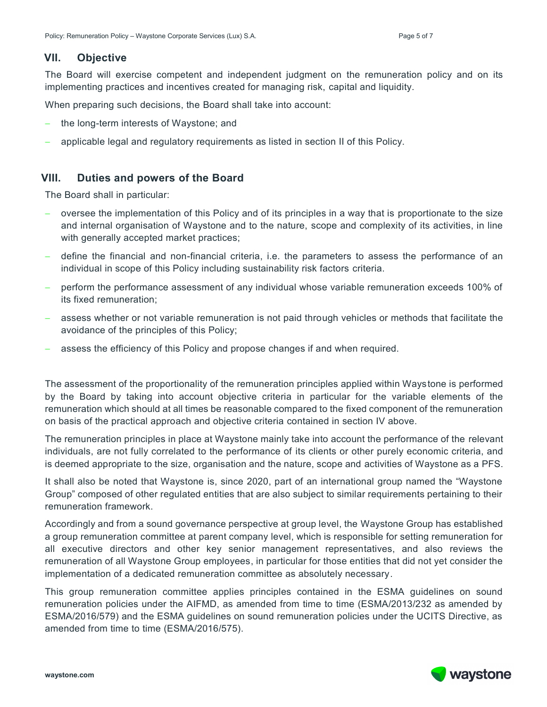### <span id="page-4-0"></span>**VII. Objective**

The Board will exercise competent and independent judgment on the remuneration policy and on its implementing practices and incentives created for managing risk, capital and liquidity.

When preparing such decisions, the Board shall take into account:

- the long-term interests of Waystone; and
- applicable legal and regulatory requirements as listed in section II of this Policy.

## <span id="page-4-1"></span>**VIII. Duties and powers of the Board**

The Board shall in particular:

- − oversee the implementation of this Policy and of its principles in a way that is proportionate to the size and internal organisation of Waystone and to the nature, scope and complexity of its activities, in line with generally accepted market practices;
- − define the financial and non-financial criteria, i.e. the parameters to assess the performance of an individual in scope of this Policy including sustainability risk factors criteria.
- − perform the performance assessment of any individual whose variable remuneration exceeds 100% of its fixed remuneration;
- assess whether or not variable remuneration is not paid through vehicles or methods that facilitate the avoidance of the principles of this Policy;
- assess the efficiency of this Policy and propose changes if and when required.

The assessment of the proportionality of the remuneration principles applied within Waystone is performed by the Board by taking into account objective criteria in particular for the variable elements of the remuneration which should at all times be reasonable compared to the fixed component of the remuneration on basis of the practical approach and objective criteria contained in section IV above.

The remuneration principles in place at Waystone mainly take into account the performance of the relevant individuals, are not fully correlated to the performance of its clients or other purely economic criteria, and is deemed appropriate to the size, organisation and the nature, scope and activities of Waystone as a PFS.

It shall also be noted that Waystone is, since 2020, part of an international group named the "Waystone Group" composed of other regulated entities that are also subject to similar requirements pertaining to their remuneration framework.

Accordingly and from a sound governance perspective at group level, the Waystone Group has established a group remuneration committee at parent company level, which is responsible for setting remuneration for all executive directors and other key senior management representatives, and also reviews the remuneration of all Waystone Group employees, in particular for those entities that did not yet consider the implementation of a dedicated remuneration committee as absolutely necessary.

This group remuneration committee applies principles contained in the ESMA guidelines on sound remuneration policies under the AIFMD, as amended from time to time (ESMA/2013/232 as amended by ESMA/2016/579) and the ESMA guidelines on sound remuneration policies under the UCITS Directive, as amended from time to time (ESMA/2016/575).

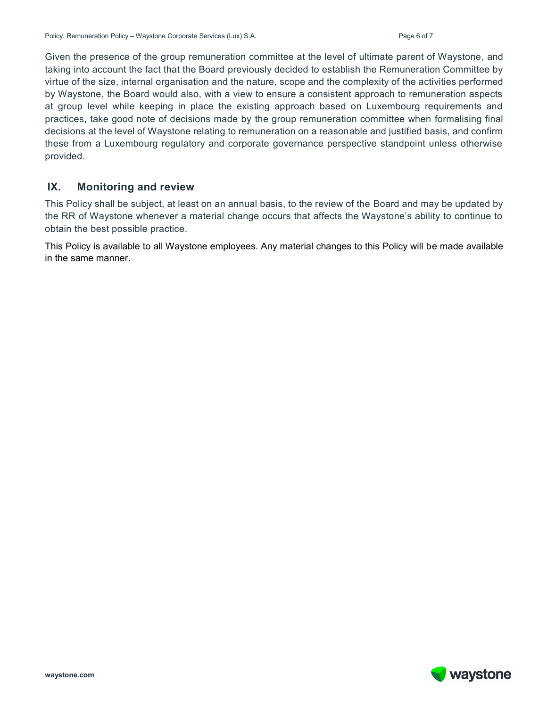Given the presence of the group remuneration committee at the level of ultimate parent of Waystone, and taking into account the fact that the Board previously decided to establish the Remuneration Committee by virtue of the size, internal organisation and the nature, scope and the complexity of the activities performed by Waystone, the Board would also, with a view to ensure a consistent approach to remuneration aspects at group level while keeping in place the existing approach based on Luxembourg requirements and practices, take good note of decisions made by the group remuneration committee when formalising final decisions at the level of Waystone relating to remuneration on a reasonable and justified basis, and confirm these from a Luxembourg regulatory and corporate governance perspective standpoint unless otherwise provided.

## <span id="page-5-0"></span>**IX. Monitoring and review**

This Policy shall be subject, at least on an annual basis, to the review of the Board and may be updated by the RR of Waystone whenever a material change occurs that affects the Waystone's ability to continue to obtain the best possible practice.

This Policy is available to all Waystone employees. Any material changes to this Policy will be made available in the same manner.